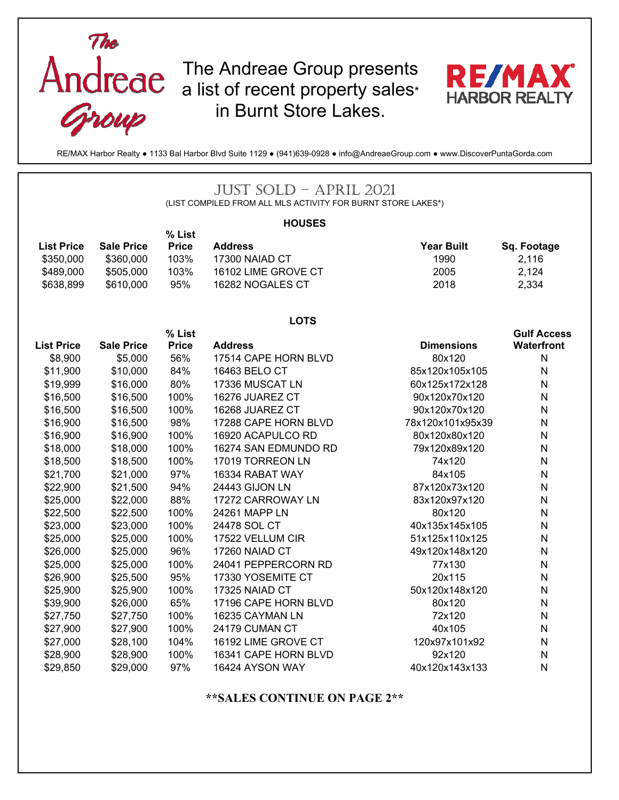

The Andreae Group presents a list of recent property sales\* in Burnt Store Lakes.



RE/MAX Harbor Realty ● 1133 Bal Harbor Blvd Suite 1129 ● (941)639-0928 ● info@AndreaeGroup.com ● www.DiscoverPuntaGorda.com

## JUST SOLD – APRIL 2021

(LIST COMPILED FROM ALL MLS ACTIVITY FOR BURNT STORE LAKES\*)

| <b>HOUSES</b>     |                   |              |                      |                   |                    |  |  |  |  |
|-------------------|-------------------|--------------|----------------------|-------------------|--------------------|--|--|--|--|
|                   |                   | % List       |                      |                   |                    |  |  |  |  |
| <b>List Price</b> | <b>Sale Price</b> | <b>Price</b> | <b>Address</b>       | <b>Year Built</b> | Sq. Footage        |  |  |  |  |
| \$350,000         | \$360,000         | 103%         | 17300 NAIAD CT       | 1990              | 2,116              |  |  |  |  |
| \$489,000         | \$505,000         | 103%         | 16102 LIME GROVE CT  | 2005              | 2,124              |  |  |  |  |
| \$638,899         | \$610,000         | 95%          | 16282 NOGALES CT     | 2018              | 2,334              |  |  |  |  |
|                   |                   |              | <b>LOTS</b>          |                   |                    |  |  |  |  |
|                   |                   | % List       |                      |                   | <b>Gulf Access</b> |  |  |  |  |
| <b>List Price</b> | <b>Sale Price</b> | <b>Price</b> | <b>Address</b>       | <b>Dimensions</b> | <b>Waterfront</b>  |  |  |  |  |
| \$8,900           | \$5,000           | 56%          | 17514 CAPE HORN BLVD | 80x120            | N                  |  |  |  |  |
| \$11,900          | \$10,000          | 84%          | 16463 BELO CT        | 85x120x105x105    | N                  |  |  |  |  |
| \$19,999          | \$16,000          | 80%          | 17336 MUSCAT LN      | 60x125x172x128    | ${\sf N}$          |  |  |  |  |
| \$16,500          | \$16,500          | 100%         | 16276 JUAREZ CT      | 90x120x70x120     | N                  |  |  |  |  |
| \$16,500          | \$16,500          | 100%         | 16268 JUAREZ CT      | 90x120x70x120     | ${\sf N}$          |  |  |  |  |
| \$16,900          | \$16,500          | 98%          | 17288 CAPE HORN BLVD | 78x120x101x95x39  | $\mathsf{N}$       |  |  |  |  |
| \$16,900          | \$16,900          | 100%         | 16920 ACAPULCO RD    | 80x120x80x120     | N                  |  |  |  |  |
| \$18,000          | \$18,000          | 100%         | 16274 SAN EDMUNDO RD | 79x120x89x120     | N                  |  |  |  |  |
| \$18,500          | \$18,500          | 100%         | 17019 TORREON LN     | 74x120            | N                  |  |  |  |  |
| \$21,700          | \$21,000          | 97%          | 16334 RABAT WAY      | 84x105            | ${\sf N}$          |  |  |  |  |
| \$22,900          | \$21,500          | 94%          | 24443 GIJON LN       | 87x120x73x120     | ${\sf N}$          |  |  |  |  |
| \$25,000          | \$22,000          | 88%          | 17272 CARROWAY LN    | 83x120x97x120     | N                  |  |  |  |  |
| \$22,500          | \$22,500          | 100%         | 24261 MAPP LN        | 80x120            | $\mathsf{N}$       |  |  |  |  |
| \$23,000          | \$23,000          | 100%         | 24478 SOL CT         | 40x135x145x105    | ${\sf N}$          |  |  |  |  |
| \$25,000          | \$25,000          | 100%         | 17522 VELLUM CIR     | 51x125x110x125    | $\mathsf{N}$       |  |  |  |  |
| \$26,000          | \$25,000          | 96%          | 17260 NAIAD CT       | 49x120x148x120    | $\mathsf{N}$       |  |  |  |  |
| \$25,000          | \$25,000          | 100%         | 24041 PEPPERCORN RD  | 77x130            | N                  |  |  |  |  |
| \$26,900          | \$25,500          | 95%          | 17330 YOSEMITE CT    | 20x115            | ${\sf N}$          |  |  |  |  |
| \$25,900          | \$25,900          | 100%         | 17325 NAIAD CT       | 50x120x148x120    | ${\sf N}$          |  |  |  |  |
| \$39,900          | \$26,000          | 65%          | 17196 CAPE HORN BLVD | 80x120            | N                  |  |  |  |  |
| \$27,750          | \$27,750          | 100%         | 16235 CAYMAN LN      | 72x120            | N                  |  |  |  |  |
| \$27,900          | \$27,900          | 100%         | 24179 CUMAN CT       | 40x105            | N                  |  |  |  |  |
| \$27,000          | \$28,100          | 104%         | 16192 LIME GROVE CT  | 120x97x101x92     | ${\sf N}$          |  |  |  |  |
| \$28,900          | \$28,900          | 100%         | 16341 CAPE HORN BLVD | 92x120            | $\mathsf{N}$       |  |  |  |  |
| \$29,850          | \$29,000          | 97%          | 16424 AYSON WAY      | 40x120x143x133    | N                  |  |  |  |  |

## **\*\*SALES CONTINUE ON PAGE 2\*\***